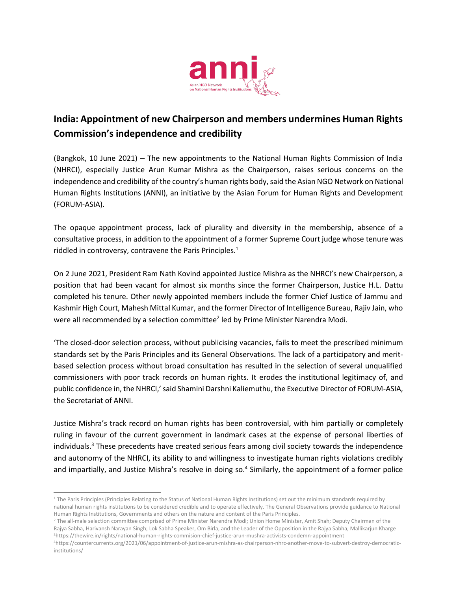

## **India: Appointment of new Chairperson and members undermines Human Rights Commission's independence and credibility**

(Bangkok, 10 June 2021) – The new appointments to the National Human Rights Commission of India (NHRCI), especially Justice Arun Kumar Mishra as the Chairperson, raises serious concerns on the independence and credibility of the country's human rights body, said the Asian NGO Network on National Human Rights Institutions (ANNI), an initiative by the Asian Forum for Human Rights and Development (FORUM-ASIA).

The opaque appointment process, lack of plurality and diversity in the membership, absence of a consultative process, in addition to the appointment of a former Supreme Court judge whose tenure was riddled in controversy, contravene the Paris Principles. 1

On 2 June 2021, President Ram Nath Kovind appointed Justice Mishra as the NHRCI's new Chairperson, a position that had been vacant for almost six months since the former Chairperson, Justice H.L. Dattu completed his tenure. Other newly appointed members include the former Chief Justice of Jammu and Kashmir High Court, Mahesh Mittal Kumar, and the former Director of Intelligence Bureau, Rajiv Jain, who were all recommended by a selection committee<sup>2</sup> led by Prime Minister Narendra Modi.

'The closed-door selection process, without publicising vacancies, fails to meet the prescribed minimum standards set by the Paris Principles and its General Observations. The lack of a participatory and meritbased selection process without broad consultation has resulted in the selection of several unqualified commissioners with poor track records on human rights. It erodes the institutional legitimacy of, and public confidence in, the NHRCI,'said Shamini Darshni Kaliemuthu, the Executive Director of FORUM-ASIA, the Secretariat of ANNI.

Justice Mishra's track record on human rights has been controversial, with him partially or completely ruling in favour of the current government in landmark cases at the expense of personal liberties of individuals. <sup>3</sup> These precedents have created serious fears among civil society towards the independence and autonomy of the NHRCI, its ability to and willingness to investigate human rights violations credibly and impartially, and Justice Mishra's resolve in doing so.<sup>4</sup> Similarly, the appointment of a former police

<sup>&</sup>lt;sup>1</sup> The Paris Principles (Principles Relating to the Status of National Human Rights Institutions) set out the minimum standards required by national human rights institutions to be considered credible and to operate effectively. The General Observations provide guidance to National Human Rights Institutions, Governments and others on the nature and content of the Paris Principles.

<sup>&</sup>lt;sup>2</sup> The all-male selection committee comprised of Prime Minister Narendra Modi; Union Home Minister, Amit Shah; Deputy Chairman of the Rajya Sabha, Harivansh Narayan Singh; Lok Sabha Speaker, Om Birla, and the Leader of the Opposition in the Rajya Sabha, Mallikarjun Kharge <sup>3</sup><https://thewire.in/rights/national-human-rights-commision-chief-justice-arun-mushra-activists-condemn-appointment>

<sup>4</sup>[https://countercurrents.org/2021/06/appointment-of-justice-arun-mishra-as-chairperson-nhrc-another-move-to-subvert-destroy-democratic](https://countercurrents.org/2021/06/appointment-of-justice-arun-mishra-as-chairperson-nhrc-another-move-to-subvert-destroy-democratic-institutions/)[institutions/](https://countercurrents.org/2021/06/appointment-of-justice-arun-mishra-as-chairperson-nhrc-another-move-to-subvert-destroy-democratic-institutions/)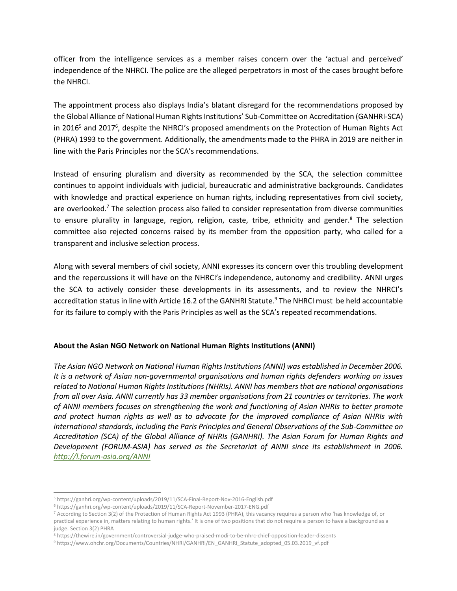officer from the intelligence services as a member raises concern over the 'actual and perceived' independence of the NHRCI. The police are the alleged perpetrators in most of the cases brought before the NHRCI.

The appointment process also displays India's blatant disregard for the recommendations proposed by the Global Alliance of National Human Rights Institutions' Sub-Committee on Accreditation (GANHRI-SCA) in 2016<sup>5</sup> and 2017<sup>6</sup>, despite the NHRCI's proposed amendments on the Protection of Human Rights Act (PHRA) 1993 to the government. Additionally, the amendments made to the PHRA in 2019 are neither in line with the Paris Principles nor the SCA's recommendations.

Instead of ensuring pluralism and diversity as recommended by the SCA, the selection committee continues to appoint individuals with judicial, bureaucratic and administrative backgrounds. Candidates with knowledge and practical experience on human rights, including representatives from civil society, are overlooked.<sup>7</sup> The selection process also failed to consider representation from diverse communities to ensure plurality in language, region, religion, caste, tribe, ethnicity and gender. $8$  The selection committee also rejected concerns raised by its member from the opposition party, who called for a transparent and inclusive selection process.

Along with several members of civil society, ANNI expresses its concern over this troubling development and the repercussions it will have on the NHRCI's independence, autonomy and credibility. ANNI urges the SCA to actively consider these developments in its assessments, and to review the NHRCI's accreditation status in line with Article 16.2 of the GANHRI Statute. <sup>9</sup> The NHRCI must be held accountable for its failure to comply with the Paris Principles as well as the SCA's repeated recommendations.

## **About the Asian NGO Network on National Human Rights Institutions (ANNI)**

*The Asian NGO Network on National Human Rights Institutions (ANNI) was established in December 2006. It is a network of Asian non-governmental organisations and human rights defenders working on issues related to National Human Rights Institutions (NHRIs). ANNI has members that are national organisations from all over Asia. ANNI currently has 33 member organisations from 21 countries or territories. The work of ANNI members focuses on strengthening the work and functioning of Asian NHRIs to better promote and protect human rights as well as to advocate for the improved compliance of Asian NHRIs with international standards, including the Paris Principles and General Observations of the Sub-Committee on Accreditation (SCA) of the Global Alliance of NHRIs (GANHRI). The Asian Forum for Human Rights and Development (FORUM-ASIA) has served as the Secretariat of ANNI since its establishment in 2006. <http://l.forum-asia.org/ANNI>*

<sup>5</sup> <https://ganhri.org/wp-content/uploads/2019/11/SCA-Final-Report-Nov-2016-English.pdf>

<sup>6</sup> <https://ganhri.org/wp-content/uploads/2019/11/SCA-Report-November-2017-ENG.pdf>

<sup>7</sup> According to Section 3(2) of the Protection of Human Rights Act 1993 (PHRA), this vacancy requires a person who 'has knowledge of, or practical experience in, matters relating to human rights.' It is one of two positions that do not require a person to have a background as a judge. Section 3(2) PHRA

<sup>8</sup> <https://thewire.in/government/controversial-judge-who-praised-modi-to-be-nhrc-chief-opposition-leader-dissents>

<sup>&</sup>lt;sup>9</sup> [https://www.ohchr.org/Documents/Countries/NHRI/GANHRI/EN\\_GANHRI\\_Statute\\_adopted\\_05.03.2019\\_vf.pdf](https://www.ohchr.org/Documents/Countries/NHRI/GANHRI/EN_GANHRI_Statute_adopted_05.03.2019_vf.pdf)